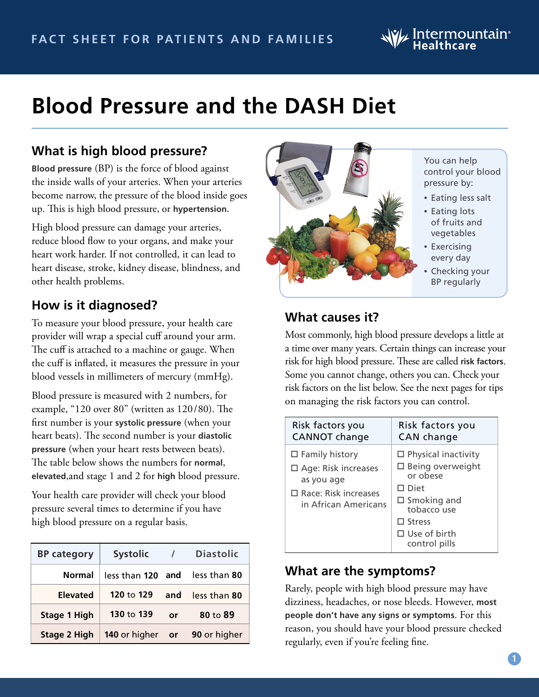# $\mathsf{W\!L}$  Intermountain $^{\circ}$

# **Blood Pressure and the DASH Diet**

# **What is high blood pressure?**

**Blood pressure** (BP) is the force of blood against the inside walls of your arteries. When your arteries become narrow, the pressure of the blood inside goes up. This is high blood pressure, or **hypertension**.

High blood pressure can damage your arteries, reduce blood flow to your organs, and make your heart work harder. If not controlled, it can lead to heart disease, stroke, kidney disease, blindness, and other health problems.

# **How is it diagnosed?**

To measure your blood pressure, your health care provider will wrap a special cuff around your arm. The cuff is attached to a machine or gauge. When the cuff is inflated, it measures the pressure in your blood vessels in millimeters of mercury (mmHg).

Blood pressure is measured with 2 numbers, for example, "120 over 80" (written as 120/80). The first number is your **systolic pressure** (when your heart beats). The second number is your **diastolic pressure** (when your heart rests between beats). The table below shows the numbers for **normal**, **elevated**,and stage 1 and 2 for **high** blood pressure.

Your health care provider will check your blood pressure several times to determine if you have high blood pressure on a regular basis.

| <b>BP category</b>  | <b>Systolic</b>                | $\prime$ | <b>Diastolic</b> |
|---------------------|--------------------------------|----------|------------------|
| <b>Normal</b>       | less than 120 and              |          | less than 80     |
| <b>Elevated</b>     | 120 to 129                     | and      | less than 80     |
| <b>Stage 1 High</b> | 130 to 139                     | or       | 80 to $89$       |
| Stage 2 High        | <b>140</b> or higher <b>or</b> |          | 90 or higher     |



You can help control your blood pressure by:

- Eating less salt
- Eating lots of fruits and vegetables
- Exercising every day
- Checking your BP regularly

### **What causes it?**

Most commonly, high blood pressure develops a little at a time over many years. Certain things can increase your risk for high blood pressure. These are called **risk factors**. Some you cannot change, others you can. Check your risk factors on the list below. See the next pages for tips on managing the risk factors you can control.

| Risk factors you                                                                                                         | Risk factors you                                                                                                                                                                  |
|--------------------------------------------------------------------------------------------------------------------------|-----------------------------------------------------------------------------------------------------------------------------------------------------------------------------------|
| <b>CANNOT</b> change                                                                                                     | <b>CAN</b> change                                                                                                                                                                 |
| $\Box$ Family history<br>$\Box$ Age: Risk increases<br>as you age<br>$\Box$ Race: Risk increases<br>in African Americans | $\Box$ Physical inactivity<br>$\Box$ Being overweight<br>or obese<br>$\Box$ Diet<br>$\square$ Smoking and<br>tobacco use<br>$\Box$ Stress<br>$\Box$ Use of birth<br>control pills |

## **What are the symptoms?**

Rarely, people with high blood pressure may have dizziness, headaches, or nose bleeds. However, **most people don't have any signs or symptoms**. For this reason, you should have your blood pressure checked regularly, even if you're feeling fine.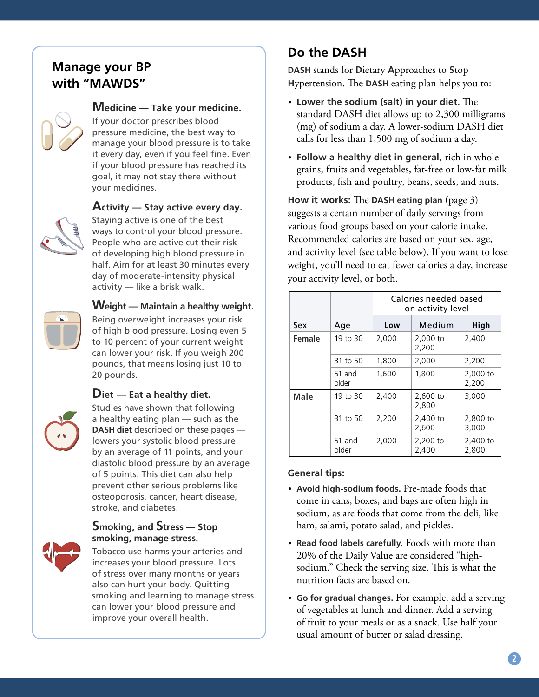# **Manage your BP with "MAWDS"**

### **Medicine — Take your medicine.**

If your doctor prescribes blood pressure medicine, the best way to manage your blood pressure is to take it every day, even if you feel fine. Even if your blood pressure has reached its goal, it may not stay there without your medicines.



#### **Activity — Stay active every day.**

Staying active is one of the best ways to control your blood pressure. People who are active cut their risk of developing high blood pressure in half. Aim for at least 30 minutes every day of moderate-intensity physical activity — like a brisk walk.



#### **Weight — Maintain a healthy weight.**

Being overweight increases your risk of high blood pressure. Losing even 5 to 10 percent of your current weight can lower your risk. If you weigh 200 pounds, that means losing just 10 to 20 pounds.

#### **Diet — Eat a healthy diet.**

Studies have shown that following a healthy eating plan — such as the **DASH diet** described on these pages lowers your systolic blood pressure by an average of 11 points, and your diastolic blood pressure by an average of 5 points. This diet can also help prevent other serious problems like osteoporosis, cancer, heart disease, stroke, and diabetes.

#### **Smoking, and Stress — Stop smoking, manage stress.**



Tobacco use harms your arteries and increases your blood pressure. Lots of stress over many months or years also can hurt your body. Quitting smoking and learning to manage stress can lower your blood pressure and improve your overall health.

# **Do the DASH**

**DASH** stands for **D**ietary **A**pproaches to **S**top **H**ypertension. The **DASH** eating plan helps you to:

- **Lower the sodium (salt) in your diet.** The standard DASH diet allows up to 2,300 milligrams (mg) of sodium a day. A lower-sodium DASH diet calls for less than 1,500 mg of sodium a day.
- **Follow a healthy diet in general,** rich in whole grains, fruits and vegetables, fat-free or low-fat milk products, fish and poultry, beans, seeds, and nuts.

**How it works:** The **DASH eating plan** (page 3) suggests a certain number of daily servings from various food groups based on your calorie intake. Recommended calories are based on your sex, age, and activity level (see table below). If you want to lose weight, you'll need to eat fewer calories a day, increase your activity level, or both.

|        |                 | Calories needed based<br>on activity level |                   |                   |
|--------|-----------------|--------------------------------------------|-------------------|-------------------|
| Sex    | Age             | Low                                        | Medium            | High              |
| Female | 19 to 30        | 2,000                                      | 2,000 to<br>2,200 | 2,400             |
|        | 31 to 50        | 1,800                                      | 2,000             | 2,200             |
|        | 51 and<br>older | 1,600                                      | 1,800             | 2,000 to<br>2,200 |
| Male   | 19 to 30        | 2,400                                      | 2,600 to<br>2,800 | 3,000             |
|        | 31 to 50        | 2,200                                      | 2,400 to<br>2.600 | 2,800 to<br>3,000 |
|        | 51 and<br>older | 2,000                                      | 2,200 to<br>2,400 | 2,400 to<br>2,800 |

#### **General tips:**

- **Avoid high-sodium foods.** Pre-made foods that come in cans, boxes, and bags are often high in sodium, as are foods that come from the deli, like ham, salami, potato salad, and pickles.
- **Read food labels carefully.** Foods with more than 20% of the Daily Value are considered "highsodium." Check the serving size. This is what the nutrition facts are based on.
- **Go for gradual changes.** For example, add a serving of vegetables at lunch and dinner. Add a serving of fruit to your meals or as a snack. Use half your usual amount of butter or salad dressing.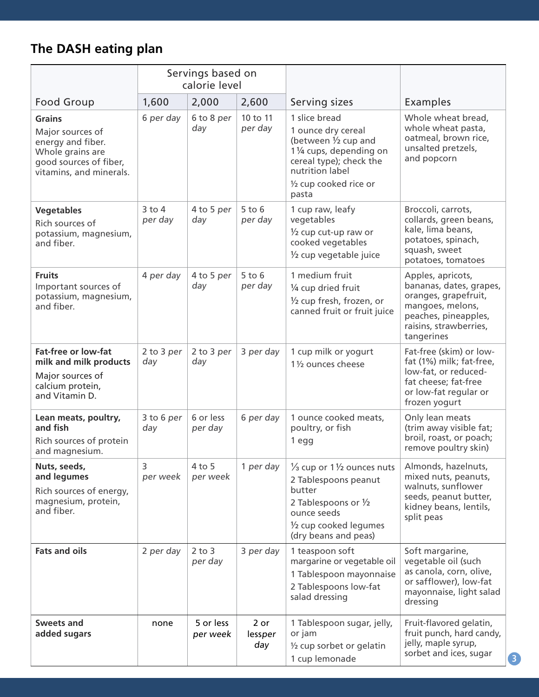# **The DASH eating plan**

|                                                                                                                                 | Servings based on<br>calorie level |                       |                        |                                                                                                                                                                                                 |                                                                                                                                                          |
|---------------------------------------------------------------------------------------------------------------------------------|------------------------------------|-----------------------|------------------------|-------------------------------------------------------------------------------------------------------------------------------------------------------------------------------------------------|----------------------------------------------------------------------------------------------------------------------------------------------------------|
| <b>Food Group</b>                                                                                                               | 1,600                              | 2,000                 | 2,600                  | Serving sizes                                                                                                                                                                                   | Examples                                                                                                                                                 |
| <b>Grains</b><br>Major sources of<br>energy and fiber.<br>Whole grains are<br>good sources of fiber,<br>vitamins, and minerals. | 6 per day                          | 6 to 8 per<br>day     | 10 to 11<br>per day    | 1 slice bread<br>1 ounce dry cereal<br>(between $\frac{1}{2}$ cup and<br>11/4 cups, depending on<br>cereal type); check the<br>nutrition label<br>1/2 cup cooked rice or<br>pasta               | Whole wheat bread,<br>whole wheat pasta,<br>oatmeal, brown rice,<br>unsalted pretzels,<br>and popcorn                                                    |
| <b>Vegetables</b><br>Rich sources of<br>potassium, magnesium,<br>and fiber.                                                     | $3$ to $4$<br>per day              | 4 to 5 per<br>day     | $5$ to $6$<br>per day  | 1 cup raw, leafy<br>vegetables<br>$\frac{1}{2}$ cup cut-up raw or<br>cooked vegetables<br>1/2 cup vegetable juice                                                                               | Broccoli, carrots,<br>collards, green beans,<br>kale, lima beans,<br>potatoes, spinach,<br>squash, sweet<br>potatoes, tomatoes                           |
| <b>Fruits</b><br>Important sources of<br>potassium, magnesium,<br>and fiber.                                                    | 4 per day                          | 4 to 5 per<br>day     | $5$ to $6$<br>per day  | 1 medium fruit<br>1/4 cup dried fruit<br>1/2 cup fresh, frozen, or<br>canned fruit or fruit juice                                                                                               | Apples, apricots,<br>bananas, dates, grapes,<br>oranges, grapefruit,<br>mangoes, melons,<br>peaches, pineapples,<br>raisins, strawberries,<br>tangerines |
| <b>Fat-free or low-fat</b><br>milk and milk products<br>Major sources of<br>calcium protein,<br>and Vitamin D.                  | 2 to 3 per<br>day                  | 2 to 3 per<br>day     | 3 per day              | 1 cup milk or yogurt<br>1 1/2 ounces cheese                                                                                                                                                     | Fat-free (skim) or low-<br>fat (1%) milk; fat-free,<br>low-fat, or reduced-<br>fat cheese; fat-free<br>or low-fat regular or<br>frozen yogurt            |
| Lean meats, poultry,<br>and fish<br>Rich sources of protein<br>and magnesium.                                                   | 3 to 6 per<br>day                  | 6 or less<br>per day  | 6 per day              | 1 ounce cooked meats,<br>poultry, or fish<br>1 egg                                                                                                                                              | Only lean meats<br>(trim away visible fat;<br>broil, roast, or poach;<br>remove poultry skin)                                                            |
| Nuts, seeds,<br>and legumes<br>Rich sources of energy,<br>magnesium, protein,<br>and fiber.                                     | 3<br>per week                      | $4$ to 5<br>per week  | 1 per day              | $\frac{1}{3}$ cup or 1 $\frac{1}{2}$ ounces nuts<br>2 Tablespoons peanut<br>butter<br>2 Tablespoons or $\frac{1}{2}$<br>ounce seeds<br>$\frac{1}{2}$ cup cooked legumes<br>(dry beans and peas) | Almonds, hazelnuts,<br>mixed nuts, peanuts,<br>walnuts, sunflower<br>seeds, peanut butter,<br>kidney beans, lentils,<br>split peas                       |
| <b>Fats and oils</b>                                                                                                            | 2 per day                          | $2$ to $3$<br>per day | 3 per day              | 1 teaspoon soft<br>margarine or vegetable oil<br>1 Tablespoon mayonnaise<br>2 Tablespoons low-fat<br>salad dressing                                                                             | Soft margarine,<br>vegetable oil (such<br>as canola, corn, olive,<br>or safflower), low-fat<br>mayonnaise, light salad<br>dressing                       |
| <b>Sweets and</b><br>added sugars                                                                                               | none                               | 5 or less<br>per week | 2 or<br>lessper<br>day | 1 Tablespoon sugar, jelly,<br>or jam<br>1/2 cup sorbet or gelatin<br>1 cup lemonade                                                                                                             | Fruit-flavored gelatin,<br>fruit punch, hard candy,<br>jelly, maple syrup,<br>sorbet and ices, sugar                                                     |